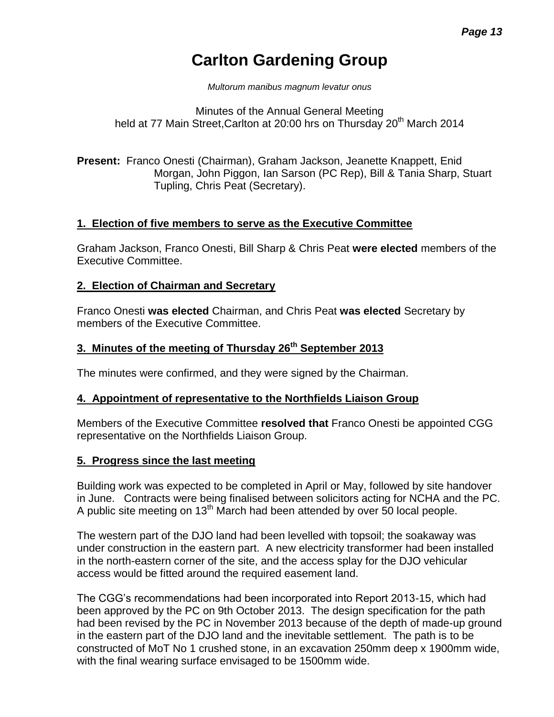# **Carlton Gardening Group**

*Multorum manibus magnum levatur onus*

Minutes of the Annual General Meeting held at 77 Main Street, Carlton at 20:00 hrs on Thursday 20<sup>th</sup> March 2014

**Present:** Franco Onesti (Chairman), Graham Jackson, Jeanette Knappett, Enid Morgan, John Piggon, Ian Sarson (PC Rep), Bill & Tania Sharp, Stuart Tupling, Chris Peat (Secretary).

# **1. Election of five members to serve as the Executive Committee**

Graham Jackson, Franco Onesti, Bill Sharp & Chris Peat **were elected** members of the Executive Committee.

### **2. Election of Chairman and Secretary**

Franco Onesti **was elected** Chairman, and Chris Peat **was elected** Secretary by members of the Executive Committee.

# **3. Minutes of the meeting of Thursday 26th September 2013**

The minutes were confirmed, and they were signed by the Chairman.

### **4. Appointment of representative to the Northfields Liaison Group**

Members of the Executive Committee **resolved that** Franco Onesti be appointed CGG representative on the Northfields Liaison Group.

### **5. Progress since the last meeting**

Building work was expected to be completed in April or May, followed by site handover in June. Contracts were being finalised between solicitors acting for NCHA and the PC. A public site meeting on 13<sup>th</sup> March had been attended by over 50 local people.

The western part of the DJO land had been levelled with topsoil; the soakaway was under construction in the eastern part. A new electricity transformer had been installed in the north-eastern corner of the site, and the access splay for the DJO vehicular access would be fitted around the required easement land.

The CGG's recommendations had been incorporated into Report 2013-15, which had been approved by the PC on 9th October 2013. The design specification for the path had been revised by the PC in November 2013 because of the depth of made-up ground in the eastern part of the DJO land and the inevitable settlement. The path is to be constructed of MoT No 1 crushed stone, in an excavation 250mm deep x 1900mm wide, with the final wearing surface envisaged to be 1500mm wide.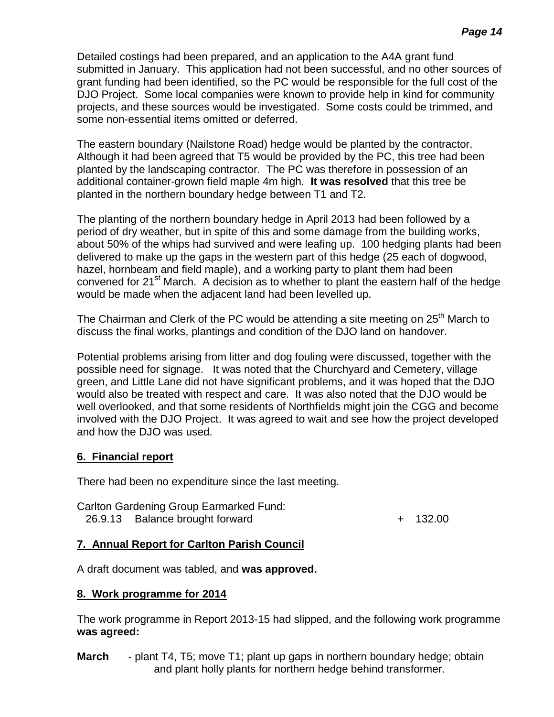Detailed costings had been prepared, and an application to the A4A grant fund submitted in January. This application had not been successful, and no other sources of grant funding had been identified, so the PC would be responsible for the full cost of the DJO Project. Some local companies were known to provide help in kind for community projects, and these sources would be investigated. Some costs could be trimmed, and some non-essential items omitted or deferred.

The eastern boundary (Nailstone Road) hedge would be planted by the contractor. Although it had been agreed that T5 would be provided by the PC, this tree had been planted by the landscaping contractor. The PC was therefore in possession of an additional container-grown field maple 4m high. **It was resolved** that this tree be planted in the northern boundary hedge between T1 and T2.

The planting of the northern boundary hedge in April 2013 had been followed by a period of dry weather, but in spite of this and some damage from the building works, about 50% of the whips had survived and were leafing up. 100 hedging plants had been delivered to make up the gaps in the western part of this hedge (25 each of dogwood, hazel, hornbeam and field maple), and a working party to plant them had been convened for  $21<sup>st</sup>$  March. A decision as to whether to plant the eastern half of the hedge would be made when the adjacent land had been levelled up.

The Chairman and Clerk of the PC would be attending a site meeting on  $25<sup>th</sup>$  March to discuss the final works, plantings and condition of the DJO land on handover.

Potential problems arising from litter and dog fouling were discussed, together with the possible need for signage. It was noted that the Churchyard and Cemetery, village green, and Little Lane did not have significant problems, and it was hoped that the DJO would also be treated with respect and care. It was also noted that the DJO would be well overlooked, and that some residents of Northfields might join the CGG and become involved with the DJO Project. It was agreed to wait and see how the project developed and how the DJO was used.

# **6. Financial report**

There had been no expenditure since the last meeting.

Carlton Gardening Group Earmarked Fund: 26.9.13 Balance brought forward + 132.00

# **7. Annual Report for Carlton Parish Council**

A draft document was tabled, and **was approved.**

# **8. Work programme for 2014**

The work programme in Report 2013-15 had slipped, and the following work programme **was agreed:**

**March** - plant T4, T5; move T1; plant up gaps in northern boundary hedge; obtain and plant holly plants for northern hedge behind transformer.